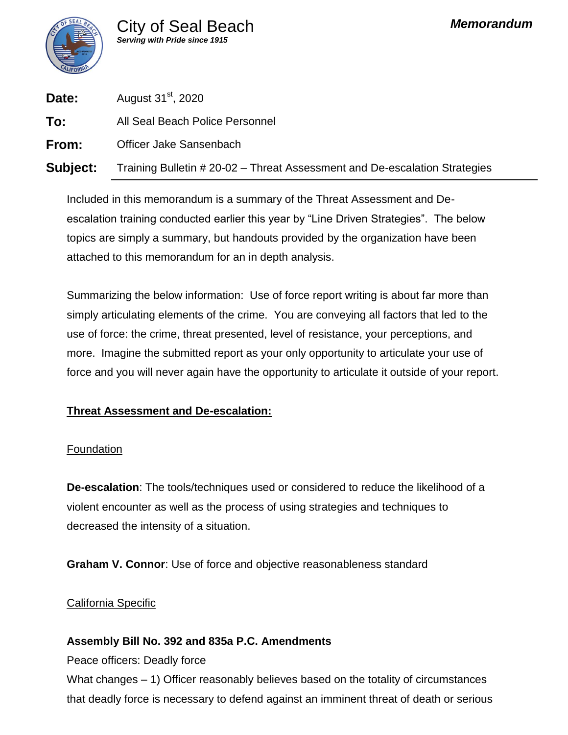

| Date:    | August 31 <sup>st</sup> , 2020                                             |
|----------|----------------------------------------------------------------------------|
| To:      | All Seal Beach Police Personnel                                            |
| From:    | Officer Jake Sansenbach                                                    |
| Subject: | Training Bulletin # 20-02 - Threat Assessment and De-escalation Strategies |

Included in this memorandum is a summary of the Threat Assessment and Deescalation training conducted earlier this year by "Line Driven Strategies". The below topics are simply a summary, but handouts provided by the organization have been attached to this memorandum for an in depth analysis.

Summarizing the below information: Use of force report writing is about far more than simply articulating elements of the crime. You are conveying all factors that led to the use of force: the crime, threat presented, level of resistance, your perceptions, and more. Imagine the submitted report as your only opportunity to articulate your use of force and you will never again have the opportunity to articulate it outside of your report.

### **Threat Assessment and De-escalation:**

### Foundation

**De-escalation**: The tools/techniques used or considered to reduce the likelihood of a violent encounter as well as the process of using strategies and techniques to decreased the intensity of a situation.

**Graham V. Connor**: Use of force and objective reasonableness standard

### California Specific

### **Assembly Bill No. 392 and 835a P.C. Amendments**

Peace officers: Deadly force

What changes – 1) Officer reasonably believes based on the totality of circumstances that deadly force is necessary to defend against an imminent threat of death or serious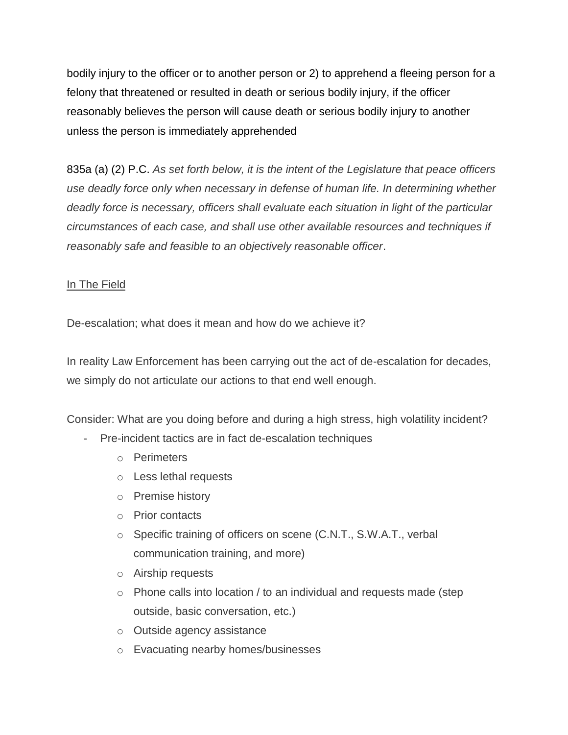bodily injury to the officer or to another person or 2) to apprehend a fleeing person for a felony that threatened or resulted in death or serious bodily injury, if the officer reasonably believes the person will cause death or serious bodily injury to another unless the person is immediately apprehended

835a (a) (2) P.C. *As set forth below, it is the intent of the Legislature that peace officers use deadly force only when necessary in defense of human life. In determining whether deadly force is necessary, officers shall evaluate each situation in light of the particular circumstances of each case, and shall use other available resources and techniques if reasonably safe and feasible to an objectively reasonable officer*.

### In The Field

De-escalation; what does it mean and how do we achieve it?

In reality Law Enforcement has been carrying out the act of de-escalation for decades, we simply do not articulate our actions to that end well enough.

Consider: What are you doing before and during a high stress, high volatility incident?

- Pre-incident tactics are in fact de-escalation techniques
	- o Perimeters
	- o Less lethal requests
	- o Premise history
	- o Prior contacts
	- o Specific training of officers on scene (C.N.T., S.W.A.T., verbal communication training, and more)
	- o Airship requests
	- o Phone calls into location / to an individual and requests made (step outside, basic conversation, etc.)
	- o Outside agency assistance
	- o Evacuating nearby homes/businesses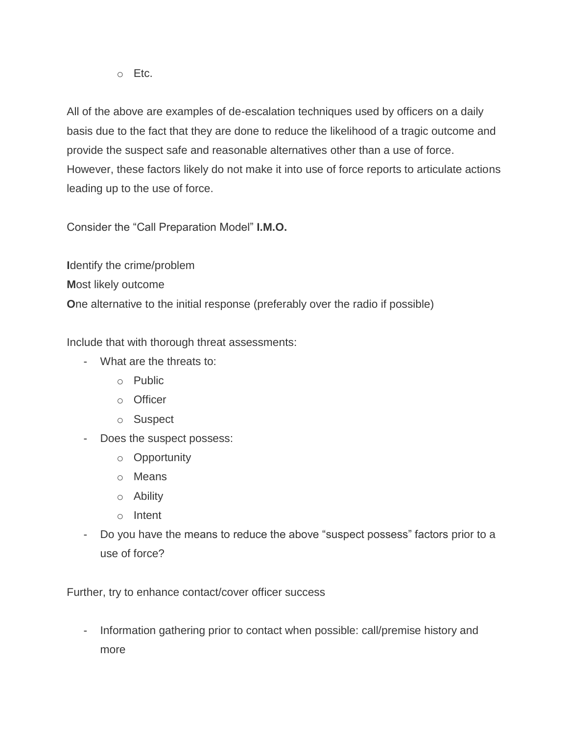$\circ$  Etc.

All of the above are examples of de-escalation techniques used by officers on a daily basis due to the fact that they are done to reduce the likelihood of a tragic outcome and provide the suspect safe and reasonable alternatives other than a use of force. However, these factors likely do not make it into use of force reports to articulate actions leading up to the use of force.

Consider the "Call Preparation Model" **I.M.O.**

**I**dentify the crime/problem **M**ost likely outcome **O**ne alternative to the initial response (preferably over the radio if possible)

Include that with thorough threat assessments:

- What are the threats to:
	- o Public
	- o Officer
	- o Suspect
- Does the suspect possess:
	- o Opportunity
	- o Means
	- o Ability
	- o Intent
- Do you have the means to reduce the above "suspect possess" factors prior to a use of force?

Further, try to enhance contact/cover officer success

- Information gathering prior to contact when possible: call/premise history and more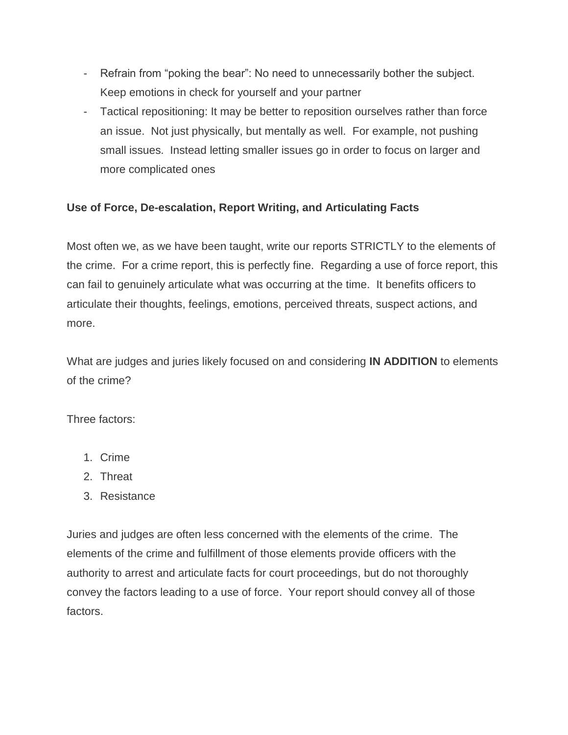- Refrain from "poking the bear": No need to unnecessarily bother the subject. Keep emotions in check for yourself and your partner
- Tactical repositioning: It may be better to reposition ourselves rather than force an issue. Not just physically, but mentally as well. For example, not pushing small issues. Instead letting smaller issues go in order to focus on larger and more complicated ones

## **Use of Force, De-escalation, Report Writing, and Articulating Facts**

Most often we, as we have been taught, write our reports STRICTLY to the elements of the crime. For a crime report, this is perfectly fine. Regarding a use of force report, this can fail to genuinely articulate what was occurring at the time. It benefits officers to articulate their thoughts, feelings, emotions, perceived threats, suspect actions, and more.

What are judges and juries likely focused on and considering **IN ADDITION** to elements of the crime?

Three factors:

- 1. Crime
- 2. Threat
- 3. Resistance

Juries and judges are often less concerned with the elements of the crime. The elements of the crime and fulfillment of those elements provide officers with the authority to arrest and articulate facts for court proceedings, but do not thoroughly convey the factors leading to a use of force. Your report should convey all of those factors.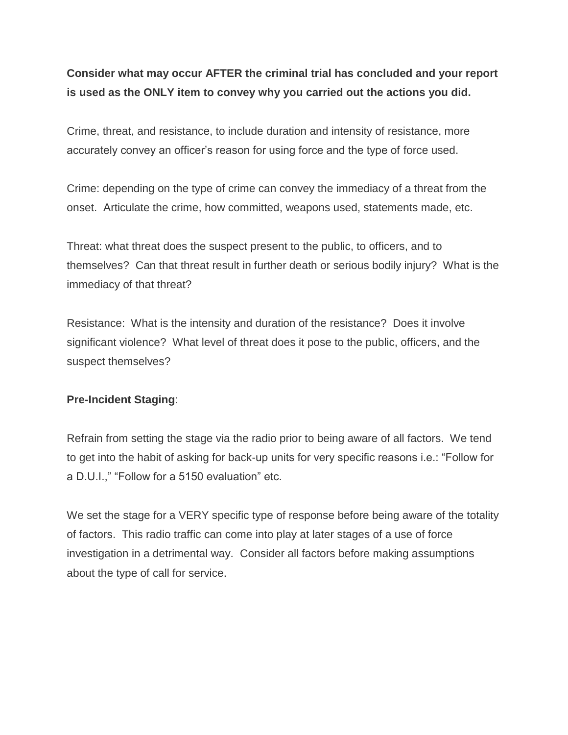# **Consider what may occur AFTER the criminal trial has concluded and your report is used as the ONLY item to convey why you carried out the actions you did.**

Crime, threat, and resistance, to include duration and intensity of resistance, more accurately convey an officer's reason for using force and the type of force used.

Crime: depending on the type of crime can convey the immediacy of a threat from the onset. Articulate the crime, how committed, weapons used, statements made, etc.

Threat: what threat does the suspect present to the public, to officers, and to themselves? Can that threat result in further death or serious bodily injury? What is the immediacy of that threat?

Resistance: What is the intensity and duration of the resistance? Does it involve significant violence? What level of threat does it pose to the public, officers, and the suspect themselves?

### **Pre-Incident Staging**:

Refrain from setting the stage via the radio prior to being aware of all factors. We tend to get into the habit of asking for back-up units for very specific reasons i.e.: "Follow for a D.U.I.," "Follow for a 5150 evaluation" etc.

We set the stage for a VERY specific type of response before being aware of the totality of factors. This radio traffic can come into play at later stages of a use of force investigation in a detrimental way. Consider all factors before making assumptions about the type of call for service.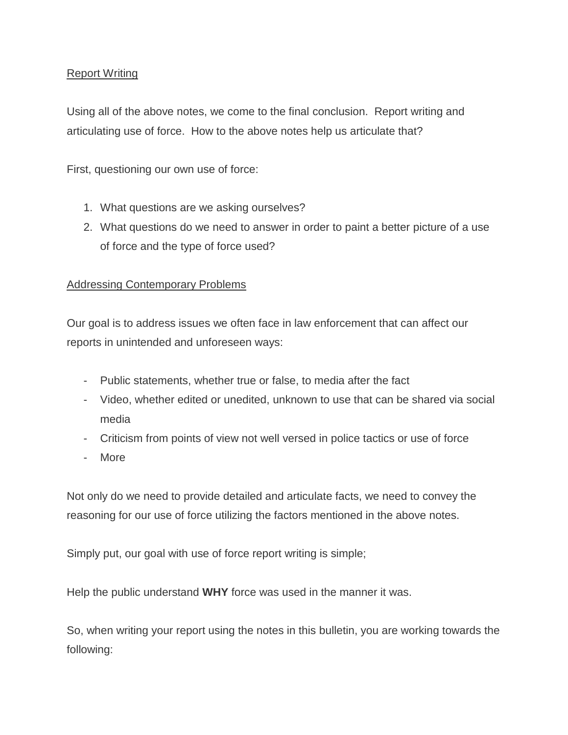### Report Writing

Using all of the above notes, we come to the final conclusion. Report writing and articulating use of force. How to the above notes help us articulate that?

First, questioning our own use of force:

- 1. What questions are we asking ourselves?
- 2. What questions do we need to answer in order to paint a better picture of a use of force and the type of force used?

### Addressing Contemporary Problems

Our goal is to address issues we often face in law enforcement that can affect our reports in unintended and unforeseen ways:

- Public statements, whether true or false, to media after the fact
- Video, whether edited or unedited, unknown to use that can be shared via social media
- Criticism from points of view not well versed in police tactics or use of force
- More

Not only do we need to provide detailed and articulate facts, we need to convey the reasoning for our use of force utilizing the factors mentioned in the above notes.

Simply put, our goal with use of force report writing is simple;

Help the public understand **WHY** force was used in the manner it was.

So, when writing your report using the notes in this bulletin, you are working towards the following: